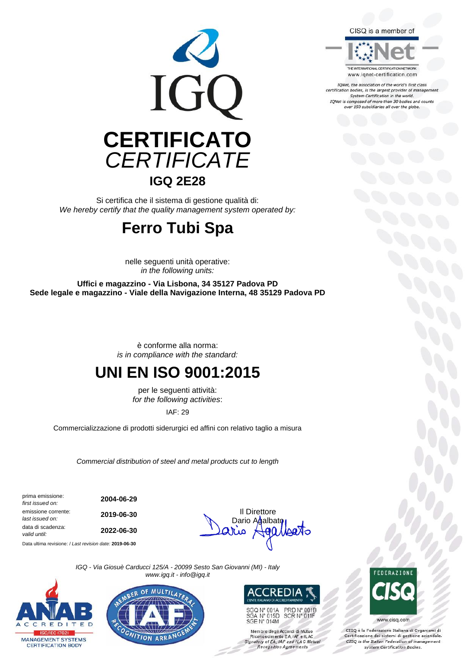

Si certifica che il sistema di gestione qualità di: *We hereby certify that the quality management system operated by:*

## **Ferro Tubi Spa**

nelle seguenti unità operative: *in the following units:*

**Uffici e magazzino - Via Lisbona, 34 35127 Padova PD Sede legale e magazzino - Viale della Navigazione Interna, 48 35129 Padova PD**

> è conforme alla norma: *is in compliance with the standard:*

## **UNI EN ISO 9001:2015**

per le seguenti attività: *for the following activities*:

IAF: 29

Commercializzazione di prodotti siderurgici ed affini con relativo taglio a misura

*Commercial distribution of steel and metal products cut to length*

prima emissione: *first issued on:* **2004-06-29** emissione corrente:<br>last issued on: **emissione corrente: 2019-06-30 Il Direttore**<br> *last issued on:* **2019-06-30 Corrent Control on: Dario Amalhs** data di scadenza: *valid until:* **2022-06-30**

Data ultima revisione: / *Last revision date:* **2019-06-30**



*IGQ - Via Giosuè Carducci 125/A - 20099 Sesto San Giovanni (MI) - Italy www.igq.it - info@igq.it*







SGQ N° 001A PRD N° 001B<br>SCR N° 011F SGA N° 015D<br>SGE N° 014M

Membro degli Accordi di Mutuo<br>Riconoscimento EA, IAF e ILAC<br>Signatory of EA, IAF and ILAC Mutual Recognition Agreements

**FDFRAZION** 

www.cisq.com

CISO è la Federazione Italiana di Organismi di Certificazione dei sistemi di gestione aziendale.<br>CISQ is the Italian Federation of management system Certification Bodies.





IQNet, the association of the world's first class certification bodies, is the largest provider of management<br>System Certification in the world. IQNet is composed of more than 30 bodies and counts<br>over 150 subsidiaries all over the globe.